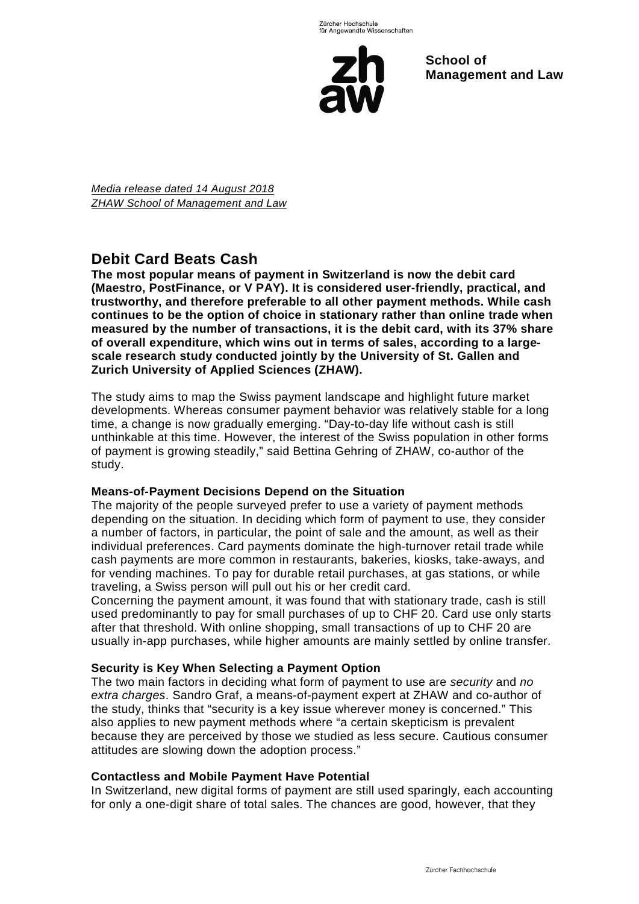

**School of Management and Law** 

*Media release dated 14 August 2018 ZHAW School of Management and Law*

# **Debit Card Beats Cash**

**The most popular means of payment in Switzerland is now the debit card (Maestro, PostFinance, or V PAY). It is considered user-friendly, practical, and trustworthy, and therefore preferable to all other payment methods. While cash continues to be the option of choice in stationary rather than online trade when measured by the number of transactions, it is the debit card, with its 37% share of overall expenditure, which wins out in terms of sales, according to a largescale research study conducted jointly by the University of St. Gallen and Zurich University of Applied Sciences (ZHAW).**

The study aims to map the Swiss payment landscape and highlight future market developments. Whereas consumer payment behavior was relatively stable for a long time, a change is now gradually emerging. "Day-to-day life without cash is still unthinkable at this time. However, the interest of the Swiss population in other forms of payment is growing steadily," said Bettina Gehring of ZHAW, co-author of the study.

## **Means-of-Payment Decisions Depend on the Situation**

The majority of the people surveyed prefer to use a variety of payment methods depending on the situation. In deciding which form of payment to use, they consider a number of factors, in particular, the point of sale and the amount, as well as their individual preferences. Card payments dominate the high-turnover retail trade while cash payments are more common in restaurants, bakeries, kiosks, take-aways, and for vending machines. To pay for durable retail purchases, at gas stations, or while traveling, a Swiss person will pull out his or her credit card.

Concerning the payment amount, it was found that with stationary trade, cash is still used predominantly to pay for small purchases of up to CHF 20. Card use only starts after that threshold. With online shopping, small transactions of up to CHF 20 are usually in-app purchases, while higher amounts are mainly settled by online transfer.

## **Security is Key When Selecting a Payment Option**

The two main factors in deciding what form of payment to use are *security* and *no extra charges*. Sandro Graf, a means-of-payment expert at ZHAW and co-author of the study, thinks that "security is a key issue wherever money is concerned." This also applies to new payment methods where "a certain skepticism is prevalent because they are perceived by those we studied as less secure. Cautious consumer attitudes are slowing down the adoption process."

## **Contactless and Mobile Payment Have Potential**

In Switzerland, new digital forms of payment are still used sparingly, each accounting for only a one-digit share of total sales. The chances are good, however, that they